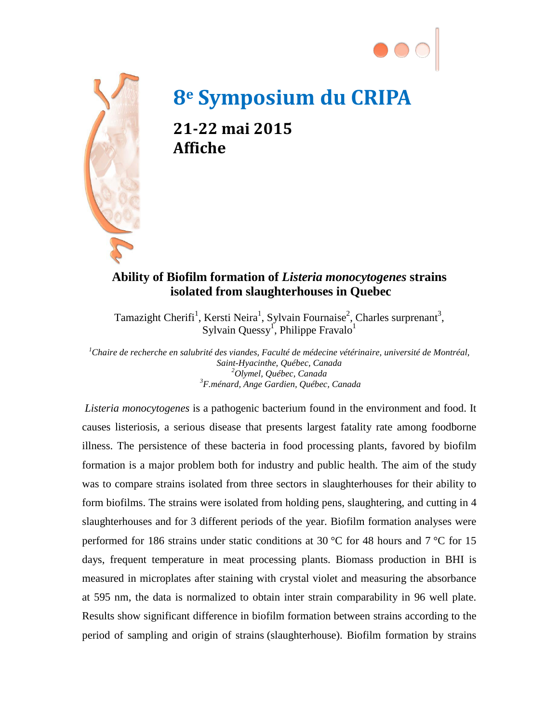



## **8e Symposium du CRIPA**

**21-22 mai 2015 Affiche**

## **Ability of Biofilm formation of** *Listeria monocytogenes* **strains isolated from slaughterhouses in Quebec**

Tamazight Cherifi<sup>1</sup>, Kersti Neira<sup>1</sup>, Sylvain Fournaise<sup>2</sup>, Charles surprenant<sup>3</sup>, Sylvain Quessy<sup>1</sup>, Philippe Fravalo<sup>1</sup>

*1 Chaire de recherche en salubrité des viandes, Faculté de médecine vétérinaire, université de Montréal, Saint-Hyacinthe, Québec, Canada <sup>2</sup> Olymel, Québec, Canada <sup>3</sup> F.ménard, Ange Gardien, Québec, Canada*

*Listeria monocytogenes* is a pathogenic bacterium found in the environment and food. It causes listeriosis, a serious disease that presents largest fatality rate among foodborne illness. The persistence of these bacteria in food processing plants, favored by biofilm formation is a major problem both for industry and public health. The aim of the study was to compare strains isolated from three sectors in slaughterhouses for their ability to form biofilms. The strains were isolated from holding pens, slaughtering, and cutting in 4 slaughterhouses and for 3 different periods of the year. Biofilm formation analyses were performed for 186 strains under static conditions at 30 °C for 48 hours and 7 °C for 15 days, frequent temperature in meat processing plants. Biomass production in BHI is measured in microplates after staining with crystal violet and measuring the absorbance at 595 nm, the data is normalized to obtain inter strain comparability in 96 well plate. Results show significant difference in biofilm formation between strains according to the period of sampling and origin of strains (slaughterhouse). Biofilm formation by strains